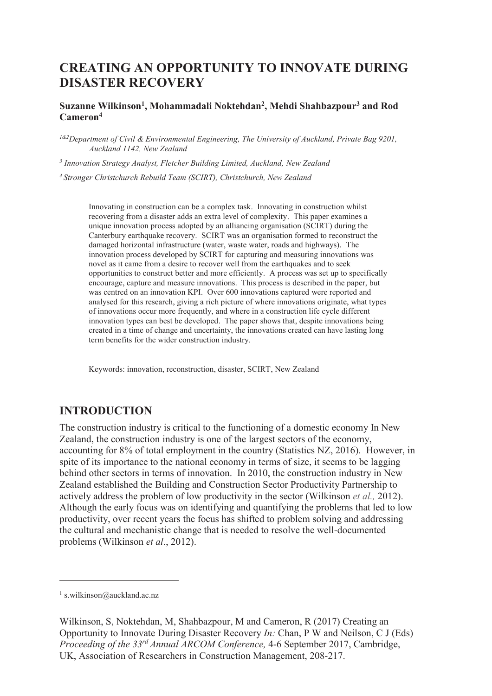# **CREATING AN OPPORTUNITY TO INNOVATE DURING DISASTER RECOVERY**

#### **Suzanne Wilkinson<sup>1</sup> , Mohammadali Noktehdan<sup>2</sup> , Mehdi Shahbazpour<sup>3</sup> and Rod Cameron<sup>4</sup>**

*1&2Department of Civil & Environmental Engineering, The University of Auckland, Private Bag 9201, Auckland 1142, New Zealand* 

<sup>3</sup> Innovation Strategy Analyst, Fletcher Building Limited, Auckland, New Zealand

*<sup>4</sup>Stronger Christchurch Rebuild Team (SCIRT), Christchurch, New Zealand* 

Innovating in construction can be a complex task. Innovating in construction whilst recovering from a disaster adds an extra level of complexity. This paper examines a unique innovation process adopted by an alliancing organisation (SCIRT) during the Canterbury earthquake recovery. SCIRT was an organisation formed to reconstruct the damaged horizontal infrastructure (water, waste water, roads and highways). The innovation process developed by SCIRT for capturing and measuring innovations was novel as it came from a desire to recover well from the earthquakes and to seek opportunities to construct better and more efficiently. A process was set up to specifically encourage, capture and measure innovations. This process is described in the paper, but was centred on an innovation KPI. Over 600 innovations captured were reported and analysed for this research, giving a rich picture of where innovations originate, what types of innovations occur more frequently, and where in a construction life cycle different innovation types can best be developed. The paper shows that, despite innovations being created in a time of change and uncertainty, the innovations created can have lasting long term benefits for the wider construction industry.

Keywords: innovation, reconstruction, disaster, SCIRT, New Zealand

### **INTRODUCTION**

The construction industry is critical to the functioning of a domestic economy In New Zealand, the construction industry is one of the largest sectors of the economy, accounting for 8% of total employment in the country (Statistics NZ, 2016). However, in spite of its importance to the national economy in terms of size, it seems to be lagging behind other sectors in terms of innovation. In 2010, the construction industry in New Zealand established the Building and Construction Sector Productivity Partnership to actively address the problem of low productivity in the sector (Wilkinson *et al.,* 2012). Although the early focus was on identifying and quantifying the problems that led to low productivity, over recent years the focus has shifted to problem solving and addressing the cultural and mechanistic change that is needed to resolve the well-documented problems (Wilkinson *et al*., 2012).

-

<sup>1</sup> s.wilkinson@auckland.ac.nz

Wilkinson, S, Noktehdan, M, Shahbazpour, M and Cameron, R (2017) Creating an Opportunity to Innovate During Disaster Recovery *In:* Chan, P W and Neilson, C J (Eds) *Proceeding of the 33rd Annual ARCOM Conference,* 4-6 September 2017, Cambridge, UK, Association of Researchers in Construction Management, 208-217.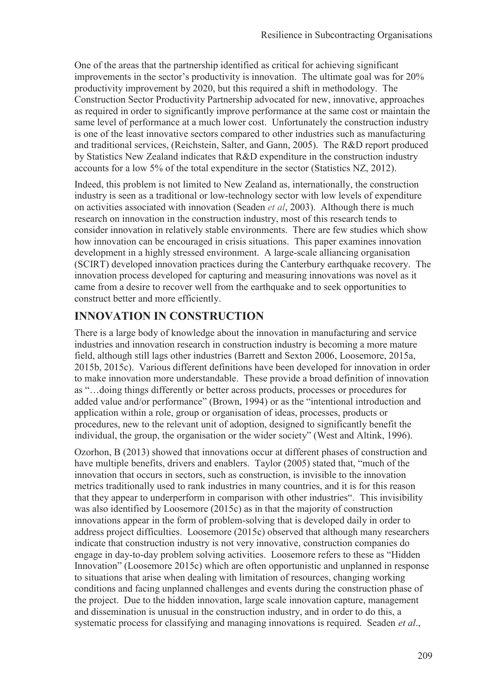One of the areas that the partnership identified as critical for achieving significant improvements in the sector's productivity is innovation. The ultimate goal was for 20% productivity improvement by 2020, but this required a shift in methodology. The Construction Sector Productivity Partnership advocated for new, innovative, approaches as required in order to significantly improve performance at the same cost or maintain the same level of performance at a much lower cost. Unfortunately the construction industry is one of the least innovative sectors compared to other industries such as manufacturing and traditional services, (Reichstein, Salter, and Gann, 2005). The R&D report produced by Statistics New Zealand indicates that R&D expenditure in the construction industry accounts for a low 5% of the total expenditure in the sector (Statistics NZ, 2012).

Indeed, this problem is not limited to New Zealand as, internationally, the construction industry is seen as a traditional or low-technology sector with low levels of expenditure on activities associated with innovation (Seaden *et al*, 2003). Although there is much research on innovation in the construction industry, most of this research tends to consider innovation in relatively stable environments. There are few studies which show how innovation can be encouraged in crisis situations. This paper examines innovation development in a highly stressed environment. A large-scale alliancing organisation (SCIRT) developed innovation practices during the Canterbury earthquake recovery. The innovation process developed for capturing and measuring innovations was novel as it came from a desire to recover well from the earthquake and to seek opportunities to construct better and more efficiently.

## **INNOVATION IN CONSTRUCTION**

There is a large body of knowledge about the innovation in manufacturing and service industries and innovation research in construction industry is becoming a more mature field, although still lags other industries (Barrett and Sexton 2006, Loosemore, 2015a, 2015b, 2015c). Various different definitions have been developed for innovation in order to make innovation more understandable. These provide a broad definition of innovation as "…doing things differently or better across products, processes or procedures for added value and/or performance" (Brown, 1994) or as the "intentional introduction and application within a role, group or organisation of ideas, processes, products or procedures, new to the relevant unit of adoption, designed to significantly benefit the individual, the group, the organisation or the wider society" (West and Altink, 1996).

Ozorhon, B (2013) showed that innovations occur at different phases of construction and have multiple benefits, drivers and enablers. Taylor (2005) stated that, "much of the innovation that occurs in sectors, such as construction, is invisible to the innovation metrics traditionally used to rank industries in many countries, and it is for this reason that they appear to underperform in comparison with other industries". This invisibility was also identified by Loosemore (2015c) as in that the majority of construction innovations appear in the form of problem-solving that is developed daily in order to address project difficulties. Loosemore (2015c) observed that although many researchers indicate that construction industry is not very innovative, construction companies do engage in day-to-day problem solving activities. Loosemore refers to these as "Hidden Innovation" (Loosemore 2015c) which are often opportunistic and unplanned in response to situations that arise when dealing with limitation of resources, changing working conditions and facing unplanned challenges and events during the construction phase of the project. Due to the hidden innovation, large scale innovation capture, management and dissemination is unusual in the construction industry, and in order to do this, a systematic process for classifying and managing innovations is required. Seaden *et al*.,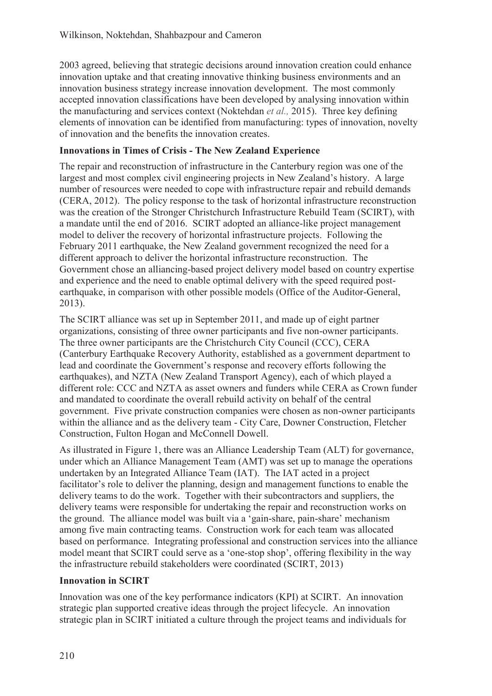2003 agreed, believing that strategic decisions around innovation creation could enhance innovation uptake and that creating innovative thinking business environments and an innovation business strategy increase innovation development. The most commonly accepted innovation classifications have been developed by analysing innovation within the manufacturing and services context (Noktehdan *et al.,* 2015). Three key defining elements of innovation can be identified from manufacturing: types of innovation, novelty of innovation and the benefits the innovation creates.

### **Innovations in Times of Crisis - The New Zealand Experience**

The repair and reconstruction of infrastructure in the Canterbury region was one of the largest and most complex civil engineering projects in New Zealand's history. A large number of resources were needed to cope with infrastructure repair and rebuild demands (CERA, 2012). The policy response to the task of horizontal infrastructure reconstruction was the creation of the Stronger Christchurch Infrastructure Rebuild Team (SCIRT), with a mandate until the end of 2016. SCIRT adopted an alliance-like project management model to deliver the recovery of horizontal infrastructure projects. Following the February 2011 earthquake, the New Zealand government recognized the need for a different approach to deliver the horizontal infrastructure reconstruction. The Government chose an alliancing-based project delivery model based on country expertise and experience and the need to enable optimal delivery with the speed required postearthquake, in comparison with other possible models (Office of the Auditor-General, 2013).

The SCIRT alliance was set up in September 2011, and made up of eight partner organizations, consisting of three owner participants and five non-owner participants. The three owner participants are the Christchurch City Council (CCC), CERA (Canterbury Earthquake Recovery Authority, established as a government department to lead and coordinate the Government's response and recovery efforts following the earthquakes), and NZTA (New Zealand Transport Agency), each of which played a different role: CCC and NZTA as asset owners and funders while CERA as Crown funder and mandated to coordinate the overall rebuild activity on behalf of the central government. Five private construction companies were chosen as non-owner participants within the alliance and as the delivery team - City Care, Downer Construction, Fletcher Construction, Fulton Hogan and McConnell Dowell.

As illustrated in Figure 1, there was an Alliance Leadership Team (ALT) for governance, under which an Alliance Management Team (AMT) was set up to manage the operations undertaken by an Integrated Alliance Team (IAT). The IAT acted in a project facilitator's role to deliver the planning, design and management functions to enable the delivery teams to do the work. Together with their subcontractors and suppliers, the delivery teams were responsible for undertaking the repair and reconstruction works on the ground. The alliance model was built via a 'gain-share, pain-share' mechanism among five main contracting teams. Construction work for each team was allocated based on performance. Integrating professional and construction services into the alliance model meant that SCIRT could serve as a 'one-stop shop', offering flexibility in the way the infrastructure rebuild stakeholders were coordinated (SCIRT, 2013)

#### **Innovation in SCIRT**

Innovation was one of the key performance indicators (KPI) at SCIRT. An innovation strategic plan supported creative ideas through the project lifecycle. An innovation strategic plan in SCIRT initiated a culture through the project teams and individuals for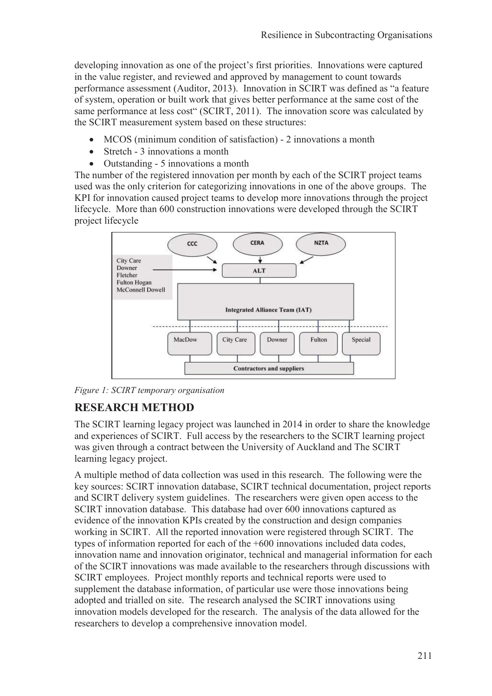developing innovation as one of the project's first priorities. Innovations were captured in the value register, and reviewed and approved by management to count towards performance assessment (Auditor, 2013). Innovation in SCIRT was defined as "a feature of system, operation or built work that gives better performance at the same cost of the same performance at less cost" (SCIRT, 2011). The innovation score was calculated by the SCIRT measurement system based on these structures:

- MCOS (minimum condition of satisfaction) 2 innovations a month
- Stretch 3 innovations a month
- Outstanding 5 innovations a month

The number of the registered innovation per month by each of the SCIRT project teams used was the only criterion for categorizing innovations in one of the above groups. The KPI for innovation caused project teams to develop more innovations through the project lifecycle. More than 600 construction innovations were developed through the SCIRT project lifecycle



*Figure 1: SCIRT temporary organisation* 

## **RESEARCH METHOD**

The SCIRT learning legacy project was launched in 2014 in order to share the knowledge and experiences of SCIRT. Full access by the researchers to the SCIRT learning project was given through a contract between the University of Auckland and The SCIRT learning legacy project.

A multiple method of data collection was used in this research. The following were the key sources: SCIRT innovation database, SCIRT technical documentation, project reports and SCIRT delivery system guidelines. The researchers were given open access to the SCIRT innovation database. This database had over 600 innovations captured as evidence of the innovation KPIs created by the construction and design companies working in SCIRT. All the reported innovation were registered through SCIRT. The types of information reported for each of the +600 innovations included data codes, innovation name and innovation originator, technical and managerial information for each of the SCIRT innovations was made available to the researchers through discussions with SCIRT employees. Project monthly reports and technical reports were used to supplement the database information, of particular use were those innovations being adopted and trialled on site. The research analysed the SCIRT innovations using innovation models developed for the research. The analysis of the data allowed for the researchers to develop a comprehensive innovation model.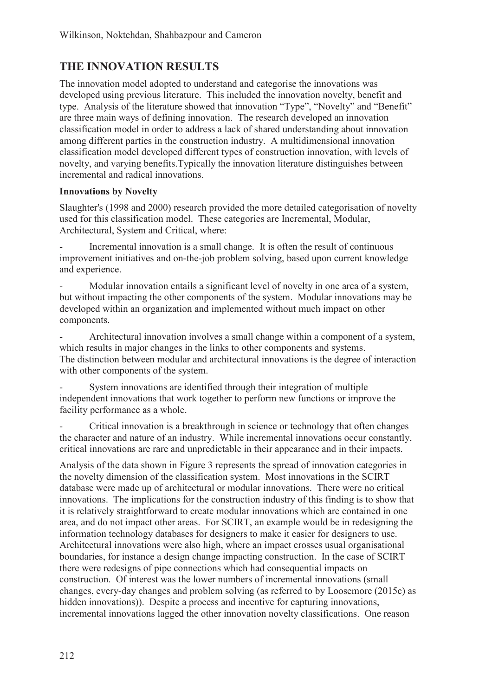# **THE INNOVATION RESULTS**

The innovation model adopted to understand and categorise the innovations was developed using previous literature. This included the innovation novelty, benefit and type. Analysis of the literature showed that innovation "Type", "Novelty" and "Benefit" are three main ways of defining innovation. The research developed an innovation classification model in order to address a lack of shared understanding about innovation among different parties in the construction industry. A multidimensional innovation classification model developed different types of construction innovation, with levels of novelty, and varying benefits.Typically the innovation literature distinguishes between incremental and radical innovations.

#### **Innovations by Novelty**

Slaughter's (1998 and 2000) research provided the more detailed categorisation of novelty used for this classification model. These categories are Incremental, Modular, Architectural, System and Critical, where:

Incremental innovation is a small change. It is often the result of continuous improvement initiatives and on-the-job problem solving, based upon current knowledge and experience.

Modular innovation entails a significant level of novelty in one area of a system, but without impacting the other components of the system. Modular innovations may be developed within an organization and implemented without much impact on other components.

- Architectural innovation involves a small change within a component of a system, which results in major changes in the links to other components and systems. The distinction between modular and architectural innovations is the degree of interaction with other components of the system.

System innovations are identified through their integration of multiple independent innovations that work together to perform new functions or improve the facility performance as a whole.

- Critical innovation is a breakthrough in science or technology that often changes the character and nature of an industry. While incremental innovations occur constantly, critical innovations are rare and unpredictable in their appearance and in their impacts.

Analysis of the data shown in Figure 3 represents the spread of innovation categories in the novelty dimension of the classification system. Most innovations in the SCIRT database were made up of architectural or modular innovations. There were no critical innovations. The implications for the construction industry of this finding is to show that it is relatively straightforward to create modular innovations which are contained in one area, and do not impact other areas. For SCIRT, an example would be in redesigning the information technology databases for designers to make it easier for designers to use. Architectural innovations were also high, where an impact crosses usual organisational boundaries, for instance a design change impacting construction. In the case of SCIRT there were redesigns of pipe connections which had consequential impacts on construction. Of interest was the lower numbers of incremental innovations (small changes, every-day changes and problem solving (as referred to by Loosemore (2015c) as hidden innovations)). Despite a process and incentive for capturing innovations, incremental innovations lagged the other innovation novelty classifications. One reason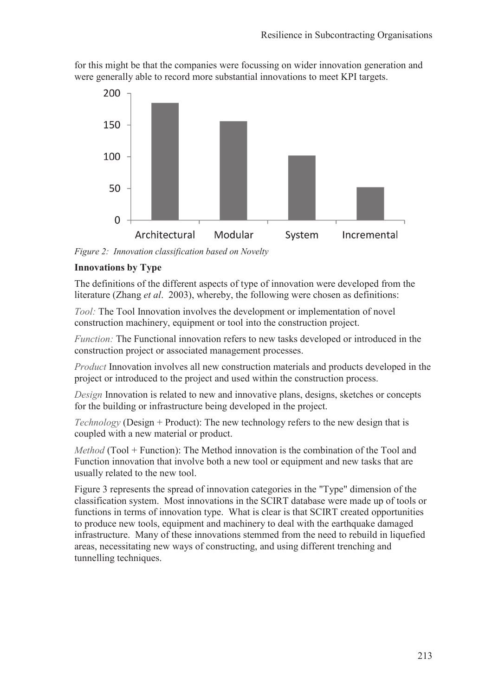for this might be that the companies were focussing on wider innovation generation and were generally able to record more substantial innovations to meet KPI targets.



*Figure 2: Innovation classification based on Novelty* 

#### **Innovations by Type**

The definitions of the different aspects of type of innovation were developed from the literature (Zhang *et al*. 2003), whereby, the following were chosen as definitions:

*Tool:* The Tool Innovation involves the development or implementation of novel construction machinery, equipment or tool into the construction project.

*Function:* The Functional innovation refers to new tasks developed or introduced in the construction project or associated management processes.

*Product* Innovation involves all new construction materials and products developed in the project or introduced to the project and used within the construction process.

*Design* Innovation is related to new and innovative plans, designs, sketches or concepts for the building or infrastructure being developed in the project.

*Technology* (Design + Product): The new technology refers to the new design that is coupled with a new material or product.

*Method* (Tool + Function): The Method innovation is the combination of the Tool and Function innovation that involve both a new tool or equipment and new tasks that are usually related to the new tool.

Figure 3 represents the spread of innovation categories in the "Type" dimension of the classification system. Most innovations in the SCIRT database were made up of tools or functions in terms of innovation type. What is clear is that SCIRT created opportunities to produce new tools, equipment and machinery to deal with the earthquake damaged infrastructure. Many of these innovations stemmed from the need to rebuild in liquefied areas, necessitating new ways of constructing, and using different trenching and tunnelling techniques.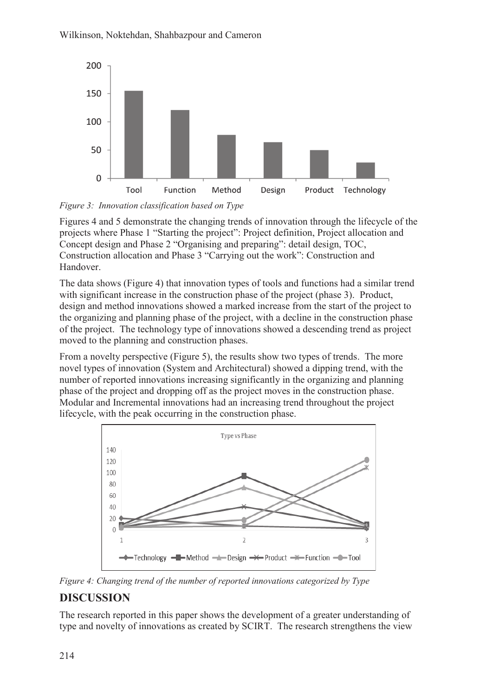

*Figure 3: Innovation classification based on Type* 

Figures 4 and 5 demonstrate the changing trends of innovation through the lifecycle of the projects where Phase 1 "Starting the project": Project definition, Project allocation and Concept design and Phase 2 "Organising and preparing": detail design, TOC, Construction allocation and Phase 3 "Carrying out the work": Construction and Handover.

The data shows (Figure 4) that innovation types of tools and functions had a similar trend with significant increase in the construction phase of the project (phase 3). Product, design and method innovations showed a marked increase from the start of the project to the organizing and planning phase of the project, with a decline in the construction phase of the project. The technology type of innovations showed a descending trend as project moved to the planning and construction phases.

From a novelty perspective (Figure 5), the results show two types of trends. The more novel types of innovation (System and Architectural) showed a dipping trend, with the number of reported innovations increasing significantly in the organizing and planning phase of the project and dropping off as the project moves in the construction phase. Modular and Incremental innovations had an increasing trend throughout the project lifecycle, with the peak occurring in the construction phase.



*Figure 4: Changing trend of the number of reported innovations categorized by Type* 

# **DISCUSSION**

The research reported in this paper shows the development of a greater understanding of type and novelty of innovations as created by SCIRT. The research strengthens the view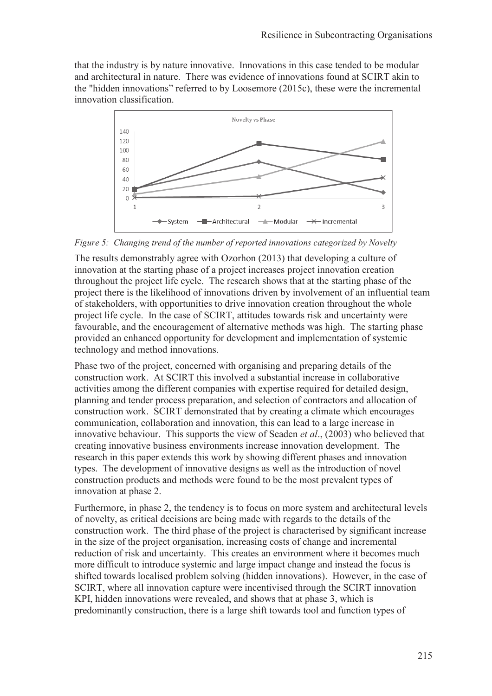that the industry is by nature innovative. Innovations in this case tended to be modular and architectural in nature. There was evidence of innovations found at SCIRT akin to the "hidden innovations" referred to by Loosemore (2015c), these were the incremental innovation classification.



*Figure 5: Changing trend of the number of reported innovations categorized by Novelty* 

The results demonstrably agree with Ozorhon (2013) that developing a culture of innovation at the starting phase of a project increases project innovation creation throughout the project life cycle. The research shows that at the starting phase of the project there is the likelihood of innovations driven by involvement of an influential team of stakeholders, with opportunities to drive innovation creation throughout the whole project life cycle. In the case of SCIRT, attitudes towards risk and uncertainty were favourable, and the encouragement of alternative methods was high. The starting phase provided an enhanced opportunity for development and implementation of systemic technology and method innovations.

Phase two of the project, concerned with organising and preparing details of the construction work. At SCIRT this involved a substantial increase in collaborative activities among the different companies with expertise required for detailed design, planning and tender process preparation, and selection of contractors and allocation of construction work. SCIRT demonstrated that by creating a climate which encourages communication, collaboration and innovation, this can lead to a large increase in innovative behaviour. This supports the view of Seaden *et al*., (2003) who believed that creating innovative business environments increase innovation development. The research in this paper extends this work by showing different phases and innovation types. The development of innovative designs as well as the introduction of novel construction products and methods were found to be the most prevalent types of innovation at phase 2.

Furthermore, in phase 2, the tendency is to focus on more system and architectural levels of novelty, as critical decisions are being made with regards to the details of the construction work. The third phase of the project is characterised by significant increase in the size of the project organisation, increasing costs of change and incremental reduction of risk and uncertainty. This creates an environment where it becomes much more difficult to introduce systemic and large impact change and instead the focus is shifted towards localised problem solving (hidden innovations). However, in the case of SCIRT, where all innovation capture were incentivised through the SCIRT innovation KPI, hidden innovations were revealed, and shows that at phase 3, which is predominantly construction, there is a large shift towards tool and function types of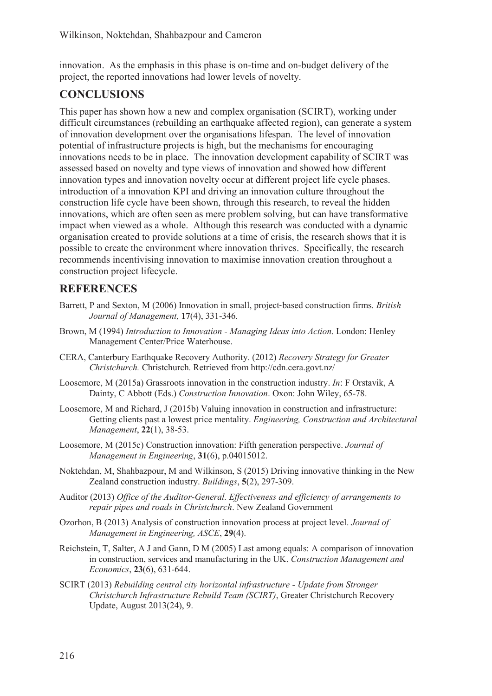innovation. As the emphasis in this phase is on-time and on-budget delivery of the project, the reported innovations had lower levels of novelty.

### **CONCLUSIONS**

This paper has shown how a new and complex organisation (SCIRT), working under difficult circumstances (rebuilding an earthquake affected region), can generate a system of innovation development over the organisations lifespan. The level of innovation potential of infrastructure projects is high, but the mechanisms for encouraging innovations needs to be in place. The innovation development capability of SCIRT was assessed based on novelty and type views of innovation and showed how different innovation types and innovation novelty occur at different project life cycle phases. introduction of a innovation KPI and driving an innovation culture throughout the construction life cycle have been shown, through this research, to reveal the hidden innovations, which are often seen as mere problem solving, but can have transformative impact when viewed as a whole. Although this research was conducted with a dynamic organisation created to provide solutions at a time of crisis, the research shows that it is possible to create the environment where innovation thrives. Specifically, the research recommends incentivising innovation to maximise innovation creation throughout a construction project lifecycle.

### **REFERENCES**

- Barrett, P and Sexton, M (2006) Innovation in small, project-based construction firms. *British Journal of Management,* **17**(4), 331-346.
- Brown, M (1994) *Introduction to Innovation Managing Ideas into Action*. London: Henley Management Center/Price Waterhouse.
- CERA, Canterbury Earthquake Recovery Authority. (2012) *Recovery Strategy for Greater Christchurch.* Christchurch. Retrieved from http://cdn.cera.govt.nz/
- Loosemore, M (2015a) Grassroots innovation in the construction industry. *In*: F Orstavik, A Dainty, C Abbott (Eds.) *Construction Innovation*. Oxon: John Wiley, 65-78.
- Loosemore, M and Richard, J (2015b) Valuing innovation in construction and infrastructure: Getting clients past a lowest price mentality. *Engineering, Construction and Architectural Management*, **22**(1), 38-53.
- Loosemore, M (2015c) Construction innovation: Fifth generation perspective. *Journal of Management in Engineering*, **31**(6), p.04015012.
- Noktehdan, M, Shahbazpour, M and Wilkinson, S (2015) Driving innovative thinking in the New Zealand construction industry. *Buildings*, **5**(2), 297-309.
- Auditor (2013) *Office of the Auditor-General. Effectiveness and efficiency of arrangements to repair pipes and roads in Christchurch*. New Zealand Government
- Ozorhon, B (2013) Analysis of construction innovation process at project level. *Journal of Management in Engineering, ASCE*, **29**(4).
- Reichstein, T, Salter, A J and Gann, D M (2005) Last among equals: A comparison of innovation in construction, services and manufacturing in the UK. *Construction Management and Economics*, **23**(6), 631-644.
- SCIRT (2013) *Rebuilding central city horizontal infrastructure Update from Stronger Christchurch Infrastructure Rebuild Team (SCIRT)*, Greater Christchurch Recovery Update, August 2013(24), 9.